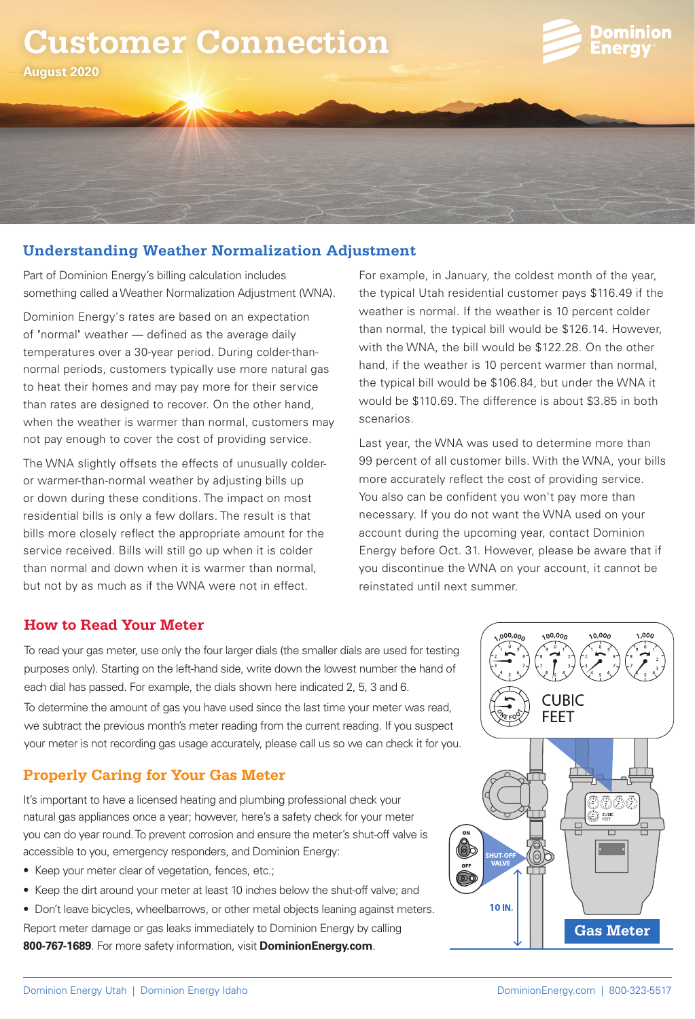# **Customer Connection**



**August 2020**

# **Understanding Weather Normalization Adjustment**

Part of Dominion Energy's billing calculation includes something called a Weather Normalization Adjustment (WNA).

Dominion Energy's rates are based on an expectation of "normal" weather — defined as the average daily temperatures over a 30-year period. During colder-thannormal periods, customers typically use more natural gas to heat their homes and may pay more for their service than rates are designed to recover. On the other hand, when the weather is warmer than normal, customers may not pay enough to cover the cost of providing service.

The WNA slightly offsets the effects of unusually colderor warmer-than-normal weather by adjusting bills up or down during these conditions. The impact on most residential bills is only a few dollars. The result is that bills more closely reflect the appropriate amount for the service received. Bills will still go up when it is colder than normal and down when it is warmer than normal, but not by as much as if the WNA were not in effect.

For example, in January, the coldest month of the year, the typical Utah residential customer pays \$116.49 if the weather is normal. If the weather is 10 percent colder than normal, the typical bill would be \$126.14. However, with the WNA, the bill would be \$122.28. On the other hand, if the weather is 10 percent warmer than normal, the typical bill would be \$106.84, but under the WNA it would be \$110.69. The difference is about \$3.85 in both scenarios.

Last year, the WNA was used to determine more than 99 percent of all customer bills. With the WNA, your bills more accurately reflect the cost of providing service. You also can be confident you won't pay more than necessary. If you do not want the WNA used on your account during the upcoming year, contact Dominion Energy before Oct. 31. However, please be aware that if you discontinue the WNA on your account, it cannot be reinstated until next summer.

 $00,00$ 

#### **How to Read Your Meter**

To read your gas meter, use only the four larger dials (the smaller dials are used for testing purposes only). Starting on the left-hand side, write down the lowest number the hand of each dial has passed. For example, the dials shown here indicated 2, 5, 3 and 6. To determine the amount of gas you have used since the last time your meter was read, we subtract the previous month's meter reading from the current reading. If you suspect your meter is not recording gas usage accurately, please call us so we can check it for you.

# **Properly Caring for Your Gas Meter**

It's important to have a licensed heating and plumbing professional check your natural gas appliances once a year; however, here's a safety check for your meter you can do year round. To prevent corrosion and ensure the meter's shut-off valve is accessible to you, emergency responders, and Dominion Energy:

- Keep your meter clear of vegetation, fences, etc.;
- Keep the dirt around your meter at least 10 inches below the shut-off valve; and
- Don't leave bicycles, wheelbarrows, or other metal objects leaning against meters. Report meter damage or gas leaks immediately to Dominion Energy by calling **800-767-1689**. For more safety information, visit **DominionEnergy.com**.



 $0.0000$ 

10,000

 $000,$